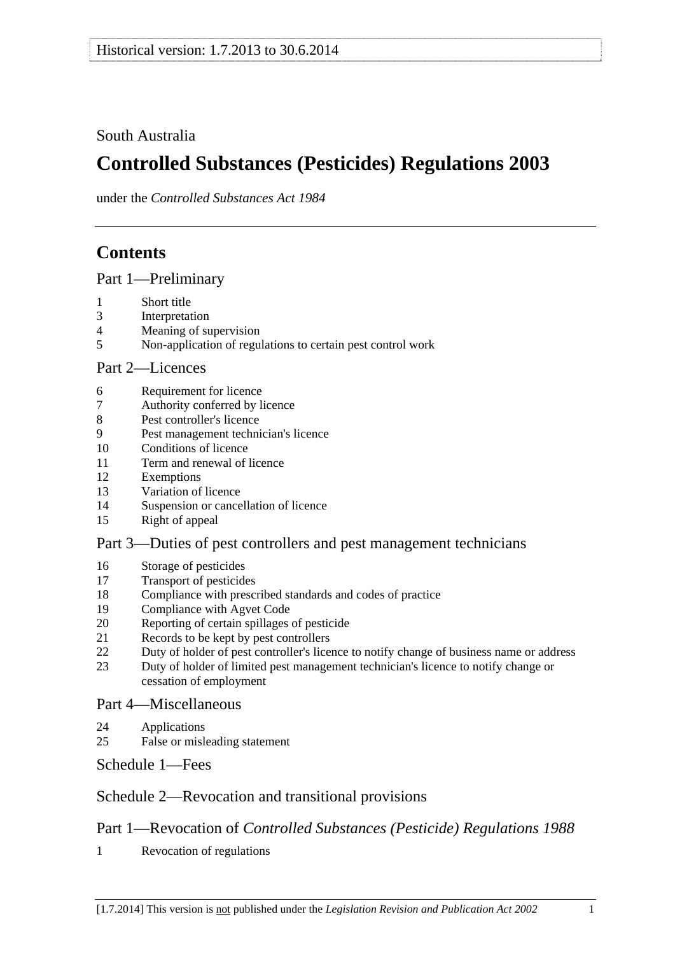## <span id="page-0-0"></span>South Australia

# **Controlled Substances (Pesticides) Regulations 2003**

under the *Controlled Substances Act 1984*

## **Contents**

[Part 1—Preliminary](#page-1-0)

- [1 Short title](#page-1-0)
- [3 Interpretation](#page-1-0)
- [4 Meaning of supervision](#page-2-0)
- [5 Non-application of regulations to certain pest control work](#page-2-0)

## [Part 2—Licences](#page-3-0)

- [6 Requirement for licence](#page-3-0)
- [7 Authority conferred by licence](#page-3-0)
- [8 Pest controller's licence](#page-4-0)
- [9 Pest management technician's licence](#page-4-0)
- [10 Conditions of licence](#page-6-0)
- [11 Term and renewal of licence](#page-6-0)
- [12 Exemptions](#page-6-0)
- [13 Variation of licence](#page-7-0)
- [14 Suspension or cancellation of licence](#page-7-0)
- [15 Right of appeal](#page-8-0)

## [Part 3—Duties of pest controllers and pest management technicians](#page-8-0)

- [16 Storage of pesticides](#page-8-0)
- [17 Transport of pesticides](#page-9-0)
- [18 Compliance with prescribed standards and codes of practice](#page-9-0)
- [19 Compliance with Agvet Code](#page-10-0)
- [20 Reporting of certain spillages of pesticide](#page-11-0)
- [21 Records to be kept by pest controllers](#page-11-0)
- [22 Duty of holder of pest controller's licence to notify change of business name or address](#page-12-0)
- [23 Duty of holder of limited pest management technician's licence to notify change or](#page-13-0)  [cessation of employment](#page-13-0)

## [Part 4—Miscellaneous](#page-13-0)

- [24 Applications](#page-13-0)
- [25 False or misleading statement](#page-13-0)

[Schedule 1—Fees](#page-13-0) 

## [Schedule 2—Revocation and transitional provisions](#page-14-0)

## Part 1—Revocation of *[Controlled Substances \(Pesticide\) Regulations 1988](#page-0-0)*

[1 Revocation of regulations](#page-14-0)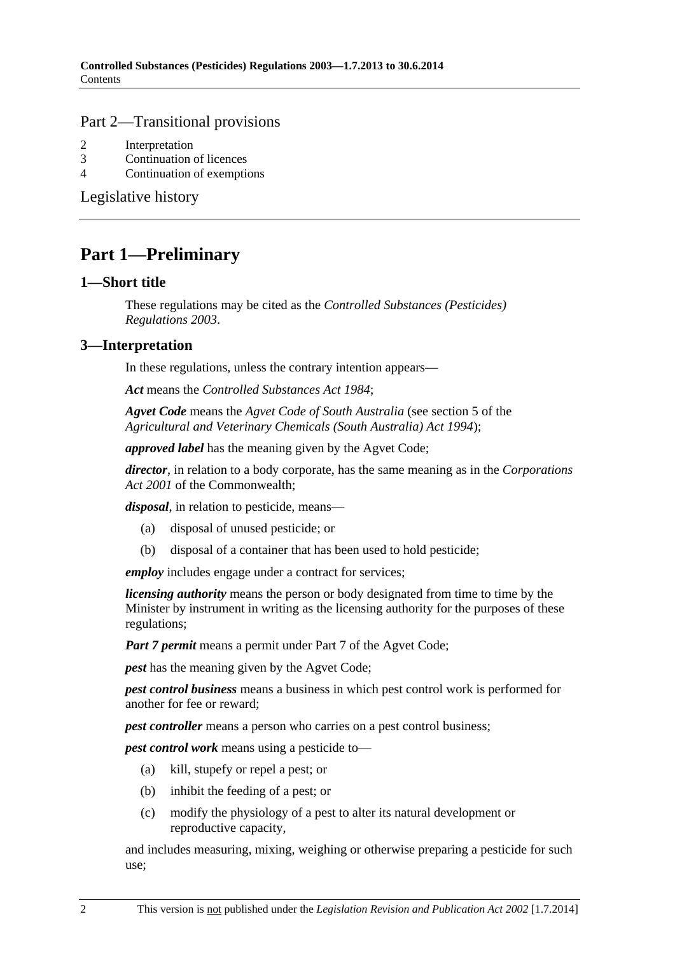#### <span id="page-1-0"></span>[Part 2—Transitional provisions](#page-0-0)

- [2 Interpretation](#page-14-0)
- [3 Continuation of licences](#page-14-0)
- [4 Continuation of exemptions](#page-14-0)

[Legislative history](#page-15-0) 

## **Part 1—Preliminary**

#### **1—Short title**

These regulations may be cited as the *Controlled Substances (Pesticides) Regulations 2003*.

## **3—Interpretation**

In these regulations, unless the contrary intention appears—

*Act* means the *[Controlled Substances Act 1984](http://www.legislation.sa.gov.au/index.aspx?action=legref&type=act&legtitle=Controlled%20Substances%20Act%201984)*;

*Agvet Code* means the *Agvet Code of South Australia* (see section 5 of the *[Agricultural and Veterinary Chemicals \(South Australia\) Act 1994](http://www.legislation.sa.gov.au/index.aspx?action=legref&type=act&legtitle=Agricultural%20and%20Veterinary%20Chemicals%20(South%20Australia)%20Act%201994)*);

*approved label* has the meaning given by the Agvet Code;

*director*, in relation to a body corporate, has the same meaning as in the *Corporations Act 2001* of the Commonwealth;

*disposal*, in relation to pesticide, means—

- (a) disposal of unused pesticide; or
- (b) disposal of a container that has been used to hold pesticide;

*employ* includes engage under a contract for services;

*licensing authority* means the person or body designated from time to time by the Minister by instrument in writing as the licensing authority for the purposes of these regulations;

*Part 7 permit* means a permit under Part 7 of the Agvet Code;

*pest* has the meaning given by the Agvet Code;

*pest control business* means a business in which pest control work is performed for another for fee or reward;

*pest controller* means a person who carries on a pest control business;

*pest control work* means using a pesticide to—

- (a) kill, stupefy or repel a pest; or
- (b) inhibit the feeding of a pest; or
- (c) modify the physiology of a pest to alter its natural development or reproductive capacity,

and includes measuring, mixing, weighing or otherwise preparing a pesticide for such use;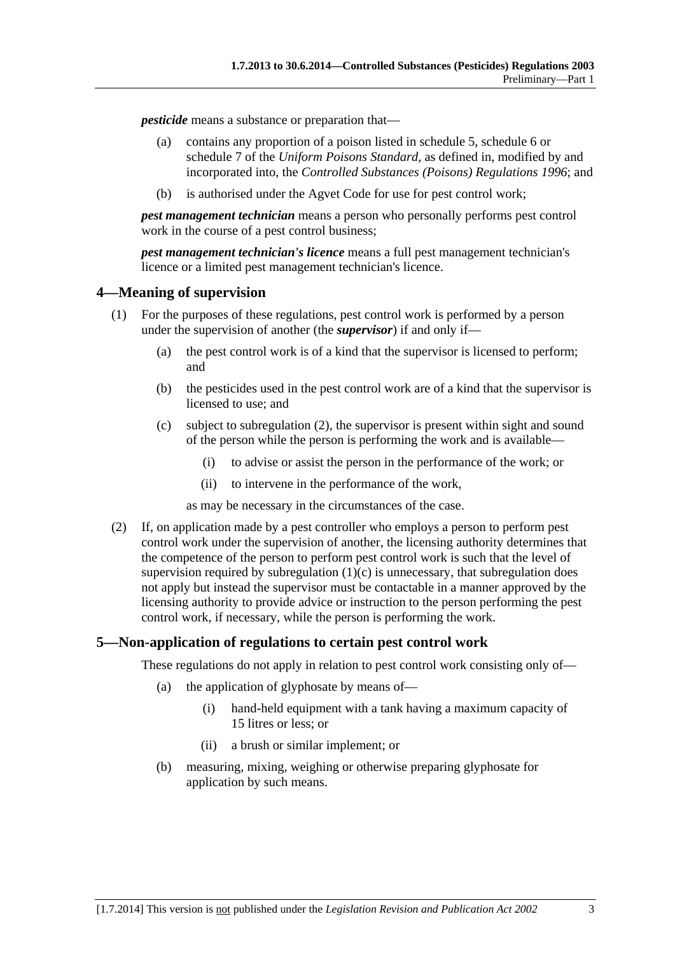<span id="page-2-0"></span>*pesticide* means a substance or preparation that—

- (a) contains any proportion of a poison listed in schedule 5, schedule 6 or schedule 7 of the *Uniform Poisons Standard*, as defined in, modified by and incorporated into, the *[Controlled Substances \(Poisons\) Regulations 1996](http://www.legislation.sa.gov.au/index.aspx?action=legref&type=subordleg&legtitle=Controlled%20Substances%20(Poisons)%20Regulations%201996)*; and
- (b) is authorised under the Agvet Code for use for pest control work;

*pest management technician* means a person who personally performs pest control work in the course of a pest control business;

*pest management technician's licence* means a full pest management technician's licence or a limited pest management technician's licence.

## **4—Meaning of supervision**

- (1) For the purposes of these regulations, pest control work is performed by a person under the supervision of another (the *supervisor*) if and only if—
	- (a) the pest control work is of a kind that the supervisor is licensed to perform; and
	- (b) the pesticides used in the pest control work are of a kind that the supervisor is licensed to use; and
	- (c) subject to [subregulation \(2\),](#page-2-0) the supervisor is present within sight and sound of the person while the person is performing the work and is available—
		- (i) to advise or assist the person in the performance of the work; or
		- (ii) to intervene in the performance of the work,

as may be necessary in the circumstances of the case.

 (2) If, on application made by a pest controller who employs a person to perform pest control work under the supervision of another, the licensing authority determines that the competence of the person to perform pest control work is such that the level of supervision required by subregulation  $(1)(c)$  is unnecessary, that subregulation does not apply but instead the supervisor must be contactable in a manner approved by the licensing authority to provide advice or instruction to the person performing the pest control work, if necessary, while the person is performing the work.

## **5—Non-application of regulations to certain pest control work**

These regulations do not apply in relation to pest control work consisting only of—

- (a) the application of glyphosate by means of—
	- (i) hand-held equipment with a tank having a maximum capacity of 15 litres or less; or
	- (ii) a brush or similar implement; or
- (b) measuring, mixing, weighing or otherwise preparing glyphosate for application by such means.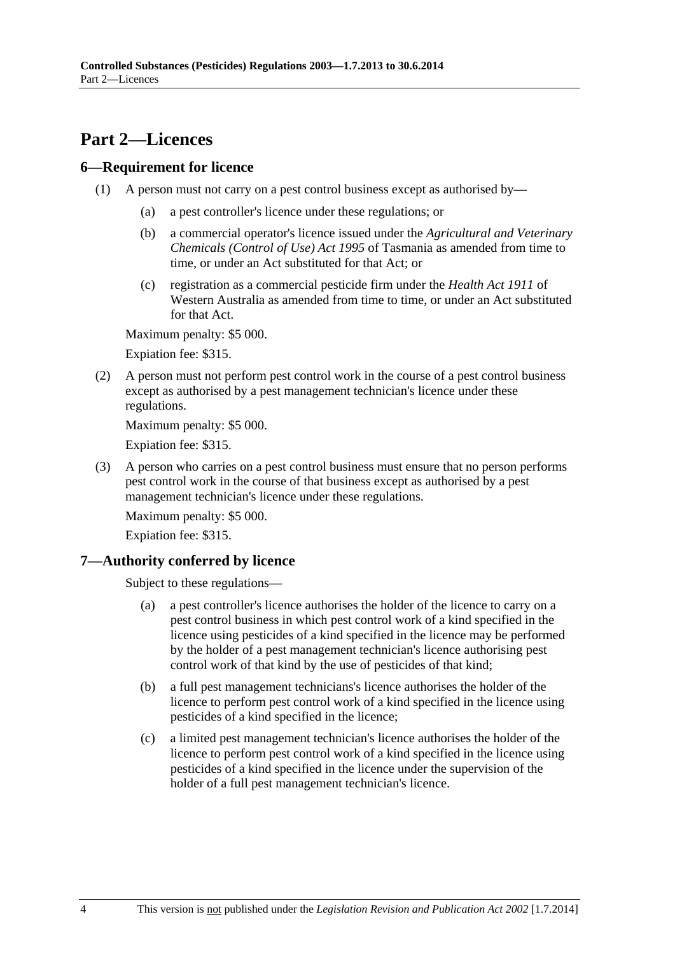## <span id="page-3-0"></span>**Part 2—Licences**

## **6—Requirement for licence**

- (1) A person must not carry on a pest control business except as authorised by—
	- (a) a pest controller's licence under these regulations; or
	- (b) a commercial operator's licence issued under the *Agricultural and Veterinary Chemicals (Control of Use) Act 1995* of Tasmania as amended from time to time, or under an Act substituted for that Act; or
	- (c) registration as a commercial pesticide firm under the *Health Act 1911* of Western Australia as amended from time to time, or under an Act substituted for that Act.

Maximum penalty: \$5 000.

Expiation fee: \$315.

 (2) A person must not perform pest control work in the course of a pest control business except as authorised by a pest management technician's licence under these regulations.

Maximum penalty: \$5 000.

Expiation fee: \$315.

 (3) A person who carries on a pest control business must ensure that no person performs pest control work in the course of that business except as authorised by a pest management technician's licence under these regulations.

Maximum penalty: \$5 000.

Expiation fee: \$315.

## **7—Authority conferred by licence**

Subject to these regulations—

- (a) a pest controller's licence authorises the holder of the licence to carry on a pest control business in which pest control work of a kind specified in the licence using pesticides of a kind specified in the licence may be performed by the holder of a pest management technician's licence authorising pest control work of that kind by the use of pesticides of that kind;
- (b) a full pest management technicians's licence authorises the holder of the licence to perform pest control work of a kind specified in the licence using pesticides of a kind specified in the licence;
- (c) a limited pest management technician's licence authorises the holder of the licence to perform pest control work of a kind specified in the licence using pesticides of a kind specified in the licence under the supervision of the holder of a full pest management technician's licence.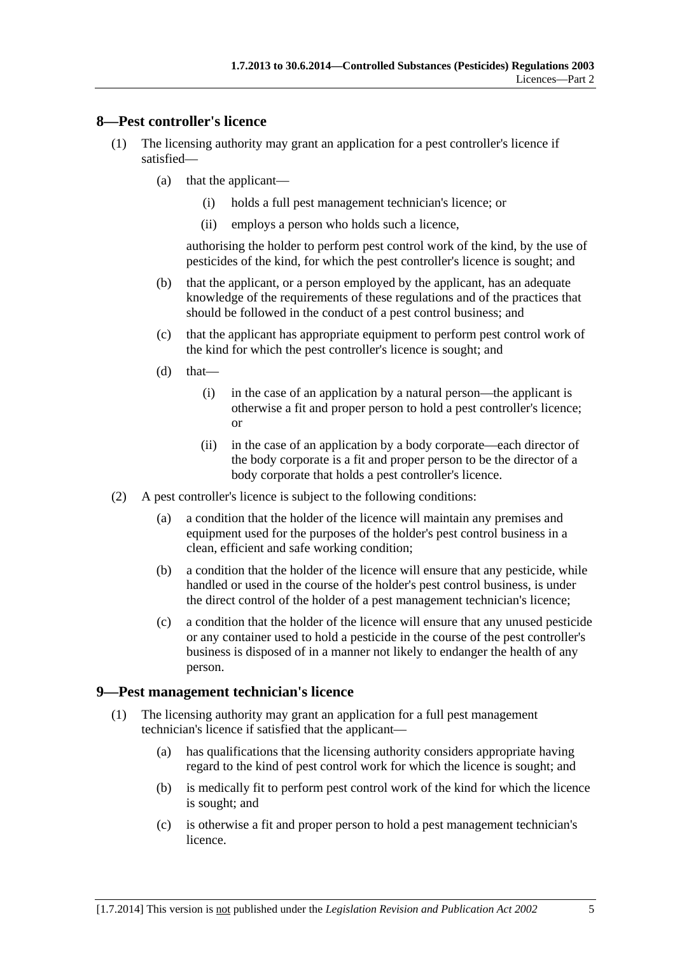#### <span id="page-4-0"></span>**8—Pest controller's licence**

- (1) The licensing authority may grant an application for a pest controller's licence if satisfied—
	- (a) that the applicant—
		- (i) holds a full pest management technician's licence; or
		- (ii) employs a person who holds such a licence,

authorising the holder to perform pest control work of the kind, by the use of pesticides of the kind, for which the pest controller's licence is sought; and

- (b) that the applicant, or a person employed by the applicant, has an adequate knowledge of the requirements of these regulations and of the practices that should be followed in the conduct of a pest control business; and
- (c) that the applicant has appropriate equipment to perform pest control work of the kind for which the pest controller's licence is sought; and
- $(d)$  that—
	- (i) in the case of an application by a natural person—the applicant is otherwise a fit and proper person to hold a pest controller's licence; or
	- (ii) in the case of an application by a body corporate—each director of the body corporate is a fit and proper person to be the director of a body corporate that holds a pest controller's licence.
- (2) A pest controller's licence is subject to the following conditions:
	- (a) a condition that the holder of the licence will maintain any premises and equipment used for the purposes of the holder's pest control business in a clean, efficient and safe working condition;
	- (b) a condition that the holder of the licence will ensure that any pesticide, while handled or used in the course of the holder's pest control business, is under the direct control of the holder of a pest management technician's licence;
	- (c) a condition that the holder of the licence will ensure that any unused pesticide or any container used to hold a pesticide in the course of the pest controller's business is disposed of in a manner not likely to endanger the health of any person.

#### **9—Pest management technician's licence**

- (1) The licensing authority may grant an application for a full pest management technician's licence if satisfied that the applicant—
	- (a) has qualifications that the licensing authority considers appropriate having regard to the kind of pest control work for which the licence is sought; and
	- (b) is medically fit to perform pest control work of the kind for which the licence is sought; and
	- (c) is otherwise a fit and proper person to hold a pest management technician's licence.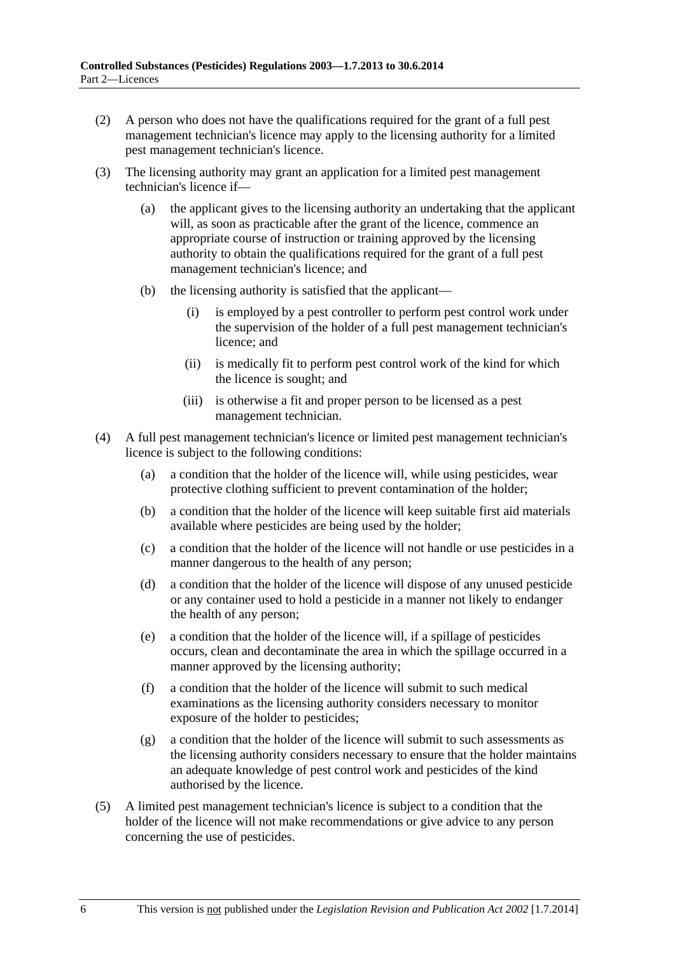- (2) A person who does not have the qualifications required for the grant of a full pest management technician's licence may apply to the licensing authority for a limited pest management technician's licence.
- (3) The licensing authority may grant an application for a limited pest management technician's licence if—
	- (a) the applicant gives to the licensing authority an undertaking that the applicant will, as soon as practicable after the grant of the licence, commence an appropriate course of instruction or training approved by the licensing authority to obtain the qualifications required for the grant of a full pest management technician's licence; and
	- (b) the licensing authority is satisfied that the applicant—
		- (i) is employed by a pest controller to perform pest control work under the supervision of the holder of a full pest management technician's licence; and
		- (ii) is medically fit to perform pest control work of the kind for which the licence is sought; and
		- (iii) is otherwise a fit and proper person to be licensed as a pest management technician.
- (4) A full pest management technician's licence or limited pest management technician's licence is subject to the following conditions:
	- (a) a condition that the holder of the licence will, while using pesticides, wear protective clothing sufficient to prevent contamination of the holder;
	- (b) a condition that the holder of the licence will keep suitable first aid materials available where pesticides are being used by the holder;
	- (c) a condition that the holder of the licence will not handle or use pesticides in a manner dangerous to the health of any person;
	- (d) a condition that the holder of the licence will dispose of any unused pesticide or any container used to hold a pesticide in a manner not likely to endanger the health of any person;
	- (e) a condition that the holder of the licence will, if a spillage of pesticides occurs, clean and decontaminate the area in which the spillage occurred in a manner approved by the licensing authority;
	- (f) a condition that the holder of the licence will submit to such medical examinations as the licensing authority considers necessary to monitor exposure of the holder to pesticides;
	- (g) a condition that the holder of the licence will submit to such assessments as the licensing authority considers necessary to ensure that the holder maintains an adequate knowledge of pest control work and pesticides of the kind authorised by the licence.
- (5) A limited pest management technician's licence is subject to a condition that the holder of the licence will not make recommendations or give advice to any person concerning the use of pesticides.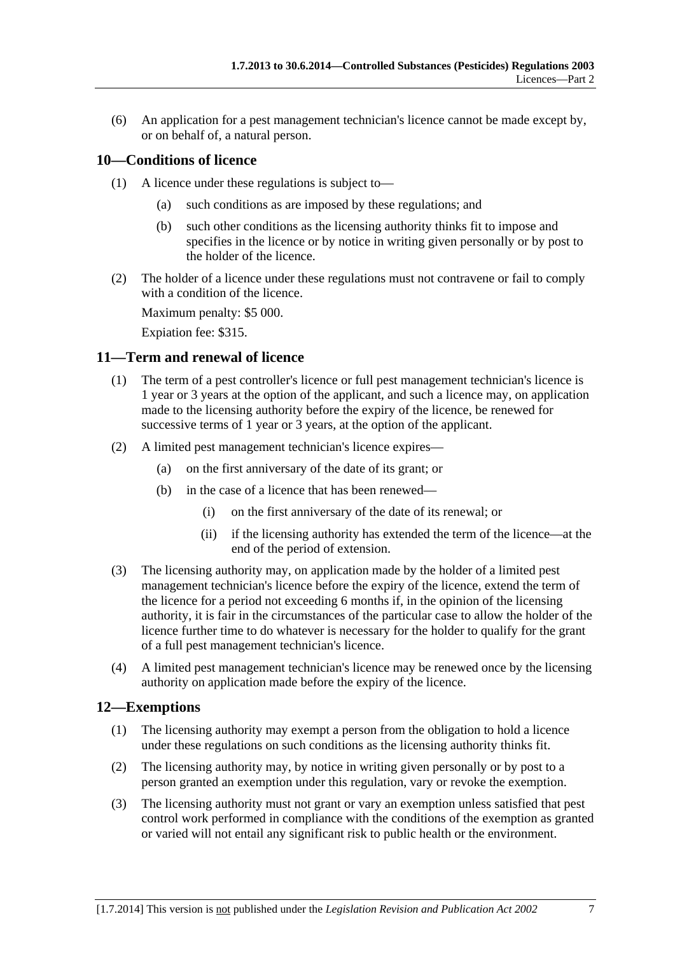<span id="page-6-0"></span> (6) An application for a pest management technician's licence cannot be made except by, or on behalf of, a natural person.

## **10—Conditions of licence**

- (1) A licence under these regulations is subject to—
	- (a) such conditions as are imposed by these regulations; and
	- (b) such other conditions as the licensing authority thinks fit to impose and specifies in the licence or by notice in writing given personally or by post to the holder of the licence.
- (2) The holder of a licence under these regulations must not contravene or fail to comply with a condition of the licence.

Maximum penalty: \$5 000.

Expiation fee: \$315.

#### **11—Term and renewal of licence**

- (1) The term of a pest controller's licence or full pest management technician's licence is 1 year or 3 years at the option of the applicant, and such a licence may, on application made to the licensing authority before the expiry of the licence, be renewed for successive terms of 1 year or 3 years, at the option of the applicant.
- (2) A limited pest management technician's licence expires—
	- (a) on the first anniversary of the date of its grant; or
	- (b) in the case of a licence that has been renewed—
		- (i) on the first anniversary of the date of its renewal; or
		- (ii) if the licensing authority has extended the term of the licence—at the end of the period of extension.
- (3) The licensing authority may, on application made by the holder of a limited pest management technician's licence before the expiry of the licence, extend the term of the licence for a period not exceeding 6 months if, in the opinion of the licensing authority, it is fair in the circumstances of the particular case to allow the holder of the licence further time to do whatever is necessary for the holder to qualify for the grant of a full pest management technician's licence.
- (4) A limited pest management technician's licence may be renewed once by the licensing authority on application made before the expiry of the licence.

#### **12—Exemptions**

- (1) The licensing authority may exempt a person from the obligation to hold a licence under these regulations on such conditions as the licensing authority thinks fit.
- (2) The licensing authority may, by notice in writing given personally or by post to a person granted an exemption under this regulation, vary or revoke the exemption.
- (3) The licensing authority must not grant or vary an exemption unless satisfied that pest control work performed in compliance with the conditions of the exemption as granted or varied will not entail any significant risk to public health or the environment.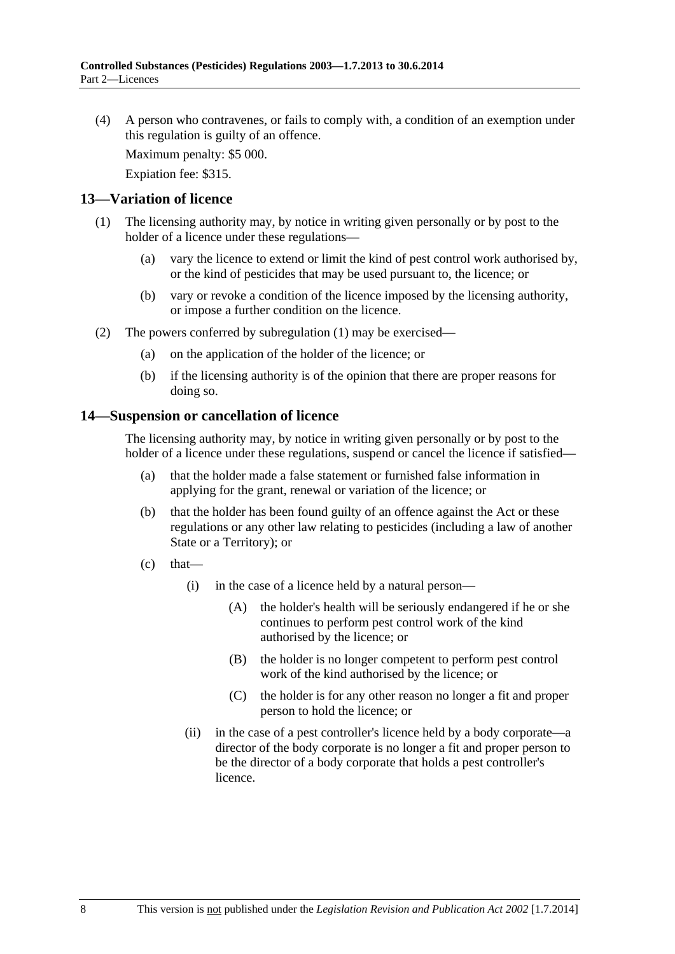<span id="page-7-0"></span> (4) A person who contravenes, or fails to comply with, a condition of an exemption under this regulation is guilty of an offence.

Maximum penalty: \$5 000.

Expiation fee: \$315.

#### **13—Variation of licence**

- (1) The licensing authority may, by notice in writing given personally or by post to the holder of a licence under these regulations—
	- (a) vary the licence to extend or limit the kind of pest control work authorised by, or the kind of pesticides that may be used pursuant to, the licence; or
	- (b) vary or revoke a condition of the licence imposed by the licensing authority, or impose a further condition on the licence.
- (2) The powers conferred by [subregulation \(1\)](#page-7-0) may be exercised—
	- (a) on the application of the holder of the licence; or
	- (b) if the licensing authority is of the opinion that there are proper reasons for doing so.

#### **14—Suspension or cancellation of licence**

The licensing authority may, by notice in writing given personally or by post to the holder of a licence under these regulations, suspend or cancel the licence if satisfied—

- (a) that the holder made a false statement or furnished false information in applying for the grant, renewal or variation of the licence; or
- (b) that the holder has been found guilty of an offence against the Act or these regulations or any other law relating to pesticides (including a law of another State or a Territory); or
- $(c)$  that—
	- (i) in the case of a licence held by a natural person—
		- (A) the holder's health will be seriously endangered if he or she continues to perform pest control work of the kind authorised by the licence; or
		- (B) the holder is no longer competent to perform pest control work of the kind authorised by the licence; or
		- (C) the holder is for any other reason no longer a fit and proper person to hold the licence; or
	- (ii) in the case of a pest controller's licence held by a body corporate—a director of the body corporate is no longer a fit and proper person to be the director of a body corporate that holds a pest controller's licence.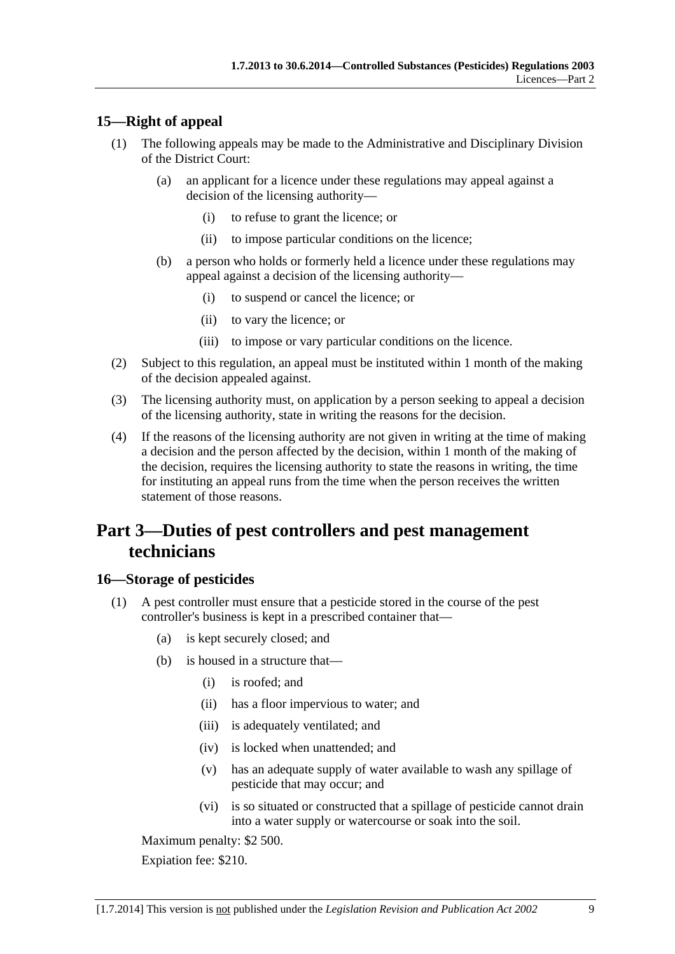## <span id="page-8-0"></span>**15—Right of appeal**

- (1) The following appeals may be made to the Administrative and Disciplinary Division of the District Court:
	- (a) an applicant for a licence under these regulations may appeal against a decision of the licensing authority—
		- (i) to refuse to grant the licence; or
		- (ii) to impose particular conditions on the licence;
	- (b) a person who holds or formerly held a licence under these regulations may appeal against a decision of the licensing authority—
		- (i) to suspend or cancel the licence; or
		- (ii) to vary the licence; or
		- (iii) to impose or vary particular conditions on the licence.
- (2) Subject to this regulation, an appeal must be instituted within 1 month of the making of the decision appealed against.
- (3) The licensing authority must, on application by a person seeking to appeal a decision of the licensing authority, state in writing the reasons for the decision.
- (4) If the reasons of the licensing authority are not given in writing at the time of making a decision and the person affected by the decision, within 1 month of the making of the decision, requires the licensing authority to state the reasons in writing, the time for instituting an appeal runs from the time when the person receives the written statement of those reasons.

## **Part 3—Duties of pest controllers and pest management technicians**

## **16—Storage of pesticides**

- (1) A pest controller must ensure that a pesticide stored in the course of the pest controller's business is kept in a prescribed container that—
	- (a) is kept securely closed; and
	- (b) is housed in a structure that—
		- (i) is roofed; and
		- (ii) has a floor impervious to water; and
		- (iii) is adequately ventilated; and
		- (iv) is locked when unattended; and
		- (v) has an adequate supply of water available to wash any spillage of pesticide that may occur; and
		- (vi) is so situated or constructed that a spillage of pesticide cannot drain into a water supply or watercourse or soak into the soil.

Maximum penalty: \$2 500.

Expiation fee: \$210.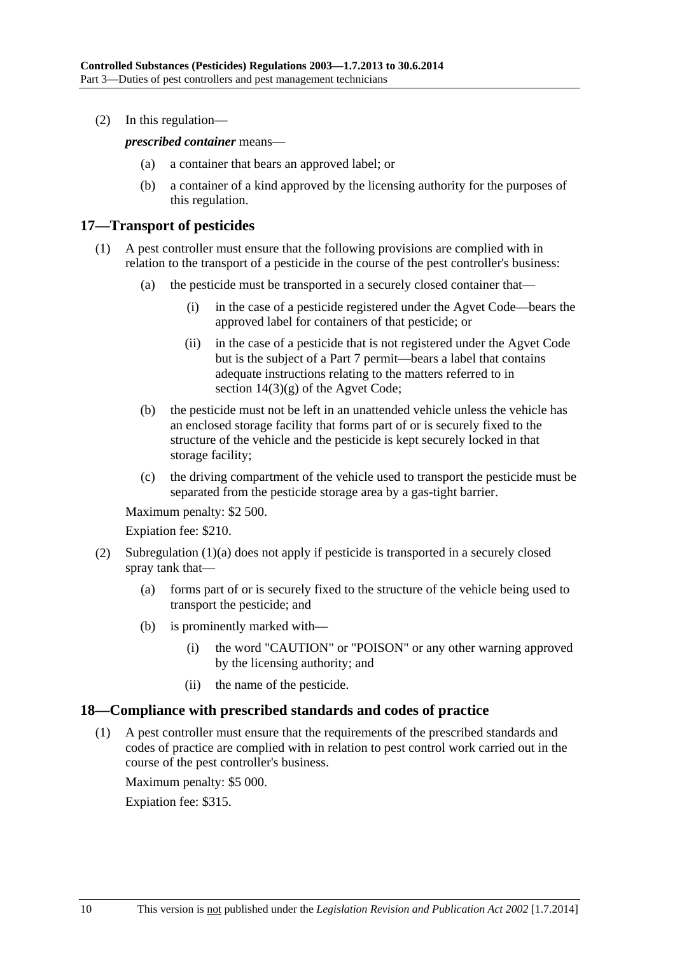<span id="page-9-0"></span>(2) In this regulation—

*prescribed container* means—

- (a) a container that bears an approved label; or
- (b) a container of a kind approved by the licensing authority for the purposes of this regulation.

## **17—Transport of pesticides**

- (1) A pest controller must ensure that the following provisions are complied with in relation to the transport of a pesticide in the course of the pest controller's business:
	- (a) the pesticide must be transported in a securely closed container that—
		- (i) in the case of a pesticide registered under the Agvet Code—bears the approved label for containers of that pesticide; or
		- (ii) in the case of a pesticide that is not registered under the Agvet Code but is the subject of a Part 7 permit—bears a label that contains adequate instructions relating to the matters referred to in section 14(3)(g) of the Agvet Code;
	- (b) the pesticide must not be left in an unattended vehicle unless the vehicle has an enclosed storage facility that forms part of or is securely fixed to the structure of the vehicle and the pesticide is kept securely locked in that storage facility;
	- (c) the driving compartment of the vehicle used to transport the pesticide must be separated from the pesticide storage area by a gas-tight barrier.

Maximum penalty: \$2 500.

Expiation fee: \$210.

- (2) [Subregulation \(1\)\(a\)](#page-8-0) does not apply if pesticide is transported in a securely closed spray tank that—
	- (a) forms part of or is securely fixed to the structure of the vehicle being used to transport the pesticide; and
	- (b) is prominently marked with—
		- (i) the word "CAUTION" or "POISON" or any other warning approved by the licensing authority; and
		- (ii) the name of the pesticide.

#### **18—Compliance with prescribed standards and codes of practice**

 (1) A pest controller must ensure that the requirements of the prescribed standards and codes of practice are complied with in relation to pest control work carried out in the course of the pest controller's business.

Maximum penalty: \$5 000.

Expiation fee: \$315.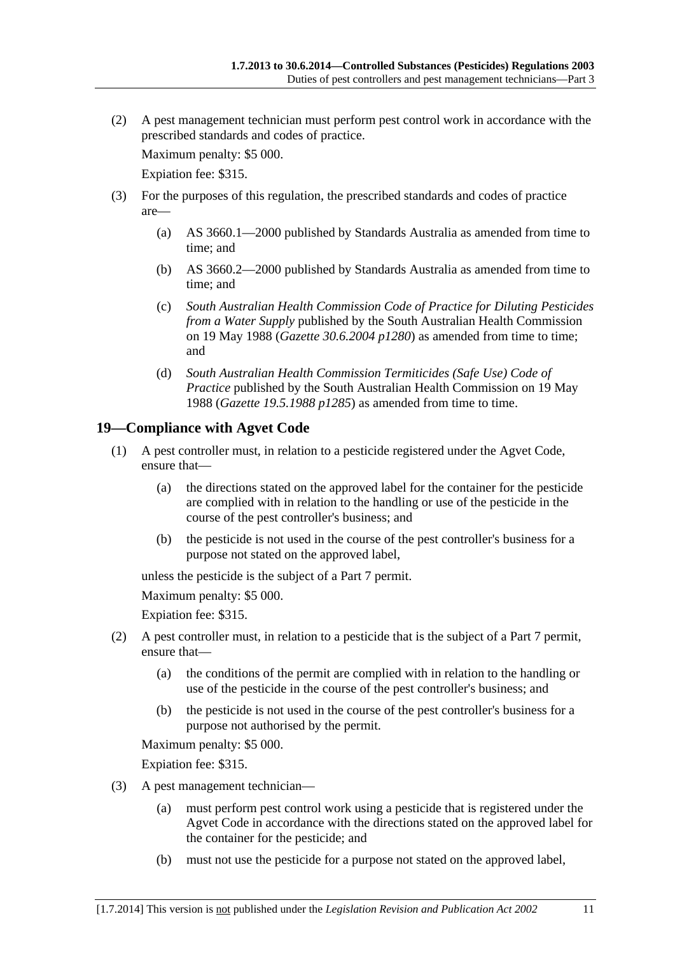<span id="page-10-0"></span> (2) A pest management technician must perform pest control work in accordance with the prescribed standards and codes of practice.

Maximum penalty: \$5 000.

Expiation fee: \$315.

- (3) For the purposes of this regulation, the prescribed standards and codes of practice are—
	- (a) AS 3660.1—2000 published by Standards Australia as amended from time to time; and
	- (b) AS 3660.2—2000 published by Standards Australia as amended from time to time; and
	- (c) *South Australian Health Commission Code of Practice for Diluting Pesticides from a Water Supply* published by the South Australian Health Commission on 19 May 1988 (*Gazette 30.6.2004 p1280*) as amended from time to time; and
	- (d) *South Australian Health Commission Termiticides (Safe Use) Code of Practice* published by the South Australian Health Commission on 19 May 1988 (*Gazette 19.5.1988 p1285*) as amended from time to time.

## **19—Compliance with Agvet Code**

- (1) A pest controller must, in relation to a pesticide registered under the Agvet Code, ensure that—
	- (a) the directions stated on the approved label for the container for the pesticide are complied with in relation to the handling or use of the pesticide in the course of the pest controller's business; and
	- (b) the pesticide is not used in the course of the pest controller's business for a purpose not stated on the approved label,

unless the pesticide is the subject of a Part 7 permit.

Maximum penalty: \$5 000.

Expiation fee: \$315.

- (2) A pest controller must, in relation to a pesticide that is the subject of a Part 7 permit, ensure that—
	- (a) the conditions of the permit are complied with in relation to the handling or use of the pesticide in the course of the pest controller's business; and
	- (b) the pesticide is not used in the course of the pest controller's business for a purpose not authorised by the permit.

Maximum penalty: \$5 000.

Expiation fee: \$315.

- (3) A pest management technician—
	- (a) must perform pest control work using a pesticide that is registered under the Agvet Code in accordance with the directions stated on the approved label for the container for the pesticide; and
	- (b) must not use the pesticide for a purpose not stated on the approved label,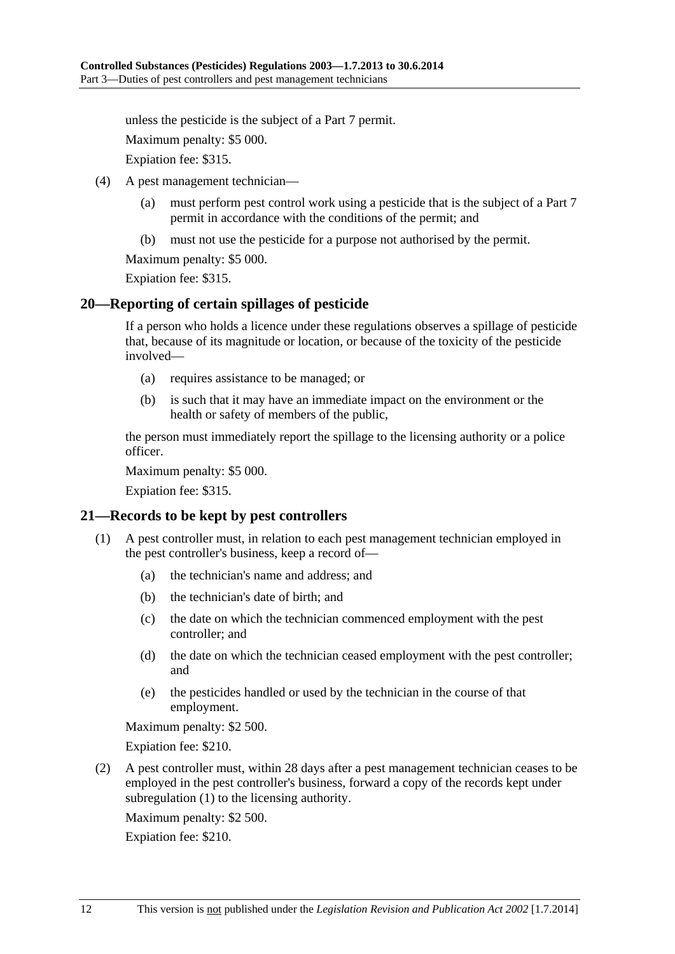<span id="page-11-0"></span>unless the pesticide is the subject of a Part 7 permit.

Maximum penalty: \$5 000.

Expiation fee: \$315.

- (4) A pest management technician—
	- (a) must perform pest control work using a pesticide that is the subject of a Part 7 permit in accordance with the conditions of the permit; and
	- (b) must not use the pesticide for a purpose not authorised by the permit.

Maximum penalty: \$5 000.

Expiation fee: \$315.

#### **20—Reporting of certain spillages of pesticide**

If a person who holds a licence under these regulations observes a spillage of pesticide that, because of its magnitude or location, or because of the toxicity of the pesticide involved—

- (a) requires assistance to be managed; or
- (b) is such that it may have an immediate impact on the environment or the health or safety of members of the public,

the person must immediately report the spillage to the licensing authority or a police officer.

Maximum penalty: \$5 000.

Expiation fee: \$315.

#### **21—Records to be kept by pest controllers**

- (1) A pest controller must, in relation to each pest management technician employed in the pest controller's business, keep a record of—
	- (a) the technician's name and address; and
	- (b) the technician's date of birth; and
	- (c) the date on which the technician commenced employment with the pest controller; and
	- (d) the date on which the technician ceased employment with the pest controller; and
	- (e) the pesticides handled or used by the technician in the course of that employment.

Maximum penalty: \$2 500.

Expiation fee: \$210.

 (2) A pest controller must, within 28 days after a pest management technician ceases to be employed in the pest controller's business, forward a copy of the records kept under [subregulation \(1\)](#page-11-0) to the licensing authority.

Maximum penalty: \$2 500.

Expiation fee: \$210.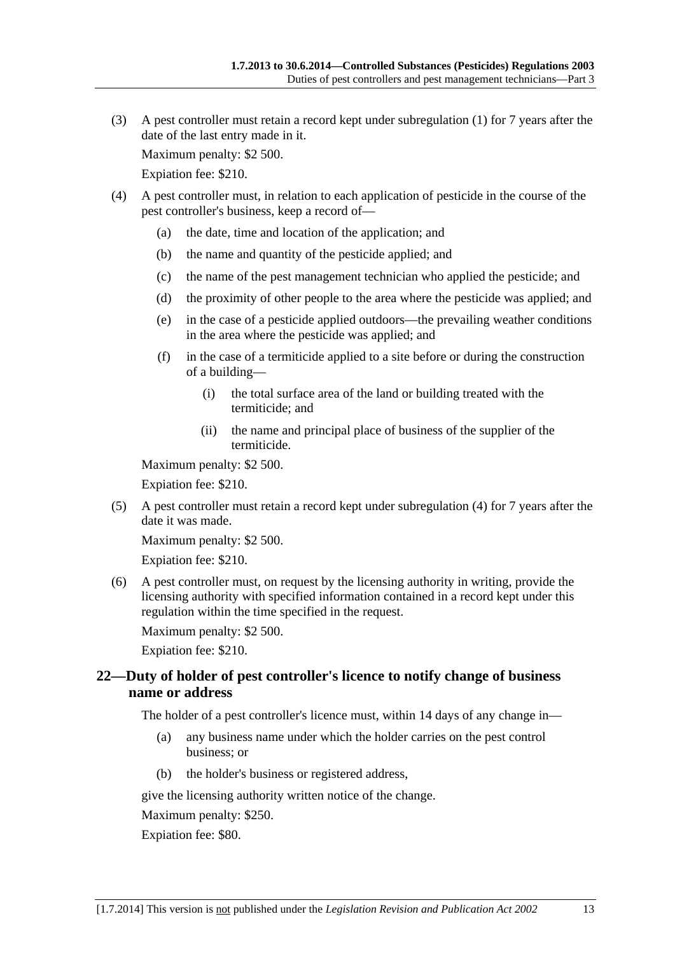<span id="page-12-0"></span> (3) A pest controller must retain a record kept under [subregulation \(1\)](#page-11-0) for 7 years after the date of the last entry made in it.

Maximum penalty: \$2 500.

Expiation fee: \$210.

- (4) A pest controller must, in relation to each application of pesticide in the course of the pest controller's business, keep a record of—
	- (a) the date, time and location of the application; and
	- (b) the name and quantity of the pesticide applied; and
	- (c) the name of the pest management technician who applied the pesticide; and
	- (d) the proximity of other people to the area where the pesticide was applied; and
	- (e) in the case of a pesticide applied outdoors—the prevailing weather conditions in the area where the pesticide was applied; and
	- (f) in the case of a termiticide applied to a site before or during the construction of a building—
		- (i) the total surface area of the land or building treated with the termiticide; and
		- (ii) the name and principal place of business of the supplier of the termiticide.

Maximum penalty: \$2 500.

Expiation fee: \$210.

 (5) A pest controller must retain a record kept under [subregulation \(4\)](#page-12-0) for 7 years after the date it was made.

Maximum penalty: \$2 500.

Expiation fee: \$210.

 (6) A pest controller must, on request by the licensing authority in writing, provide the licensing authority with specified information contained in a record kept under this regulation within the time specified in the request.

Maximum penalty: \$2 500.

Expiation fee: \$210.

## **22—Duty of holder of pest controller's licence to notify change of business name or address**

The holder of a pest controller's licence must, within 14 days of any change in—

- (a) any business name under which the holder carries on the pest control business; or
- (b) the holder's business or registered address,

give the licensing authority written notice of the change.

Maximum penalty: \$250.

Expiation fee: \$80.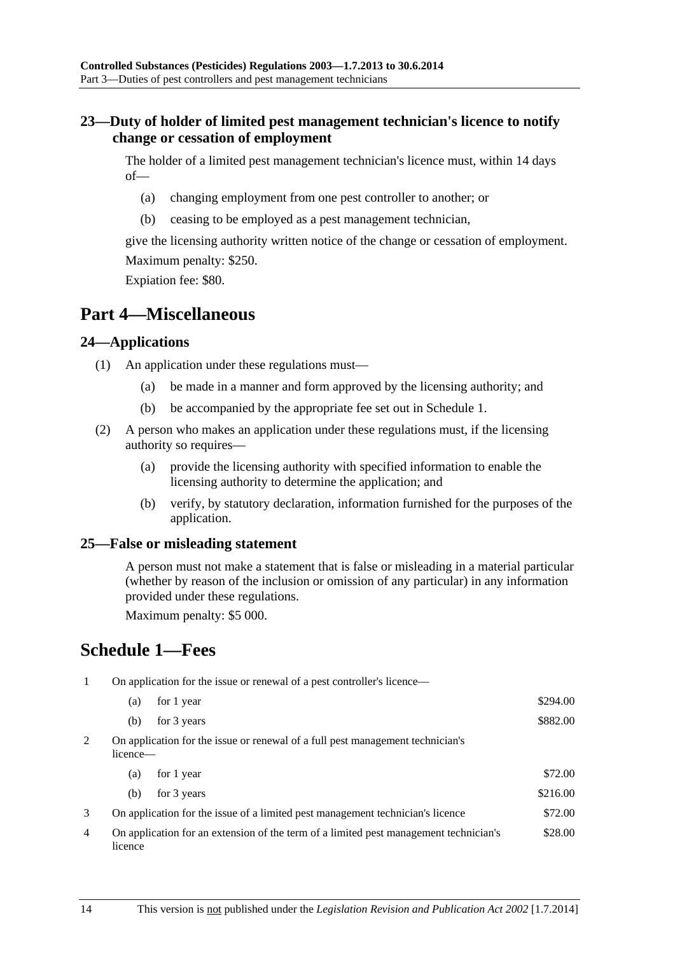## <span id="page-13-0"></span>**23—Duty of holder of limited pest management technician's licence to notify change or cessation of employment**

The holder of a limited pest management technician's licence must, within 14 days of—

- (a) changing employment from one pest controller to another; or
- (b) ceasing to be employed as a pest management technician,

give the licensing authority written notice of the change or cessation of employment. Maximum penalty: \$250.

Expiation fee: \$80.

## **Part 4—Miscellaneous**

## **24—Applications**

- (1) An application under these regulations must—
	- (a) be made in a manner and form approved by the licensing authority; and
	- (b) be accompanied by the appropriate fee set out in [Schedule 1.](#page-13-0)
- (2) A person who makes an application under these regulations must, if the licensing authority so requires—
	- (a) provide the licensing authority with specified information to enable the licensing authority to determine the application; and
	- (b) verify, by statutory declaration, information furnished for the purposes of the application.

## **25—False or misleading statement**

A person must not make a statement that is false or misleading in a material particular (whether by reason of the inclusion or omission of any particular) in any information provided under these regulations.

Maximum penalty: \$5 000.

## **Schedule 1—Fees**

1 On application for the issue or renewal of a pest controller's licence—

| (a)                                                                                        | for 1 year  | \$294.00 |
|--------------------------------------------------------------------------------------------|-------------|----------|
| (b)                                                                                        | for 3 years | \$882.00 |
| On application for the issue or renewal of a full pest management technician's<br>licence— |             |          |

| (a) | for 1 year                                                                     | \$72.00  |
|-----|--------------------------------------------------------------------------------|----------|
|     | (b) for $3 \text{ years}$                                                      | \$216.00 |
|     | On application for the issue of a limited pest management technician's licence | \$72.00  |

4 On application for an extension of the term of a limited pest management technician's licence \$28.00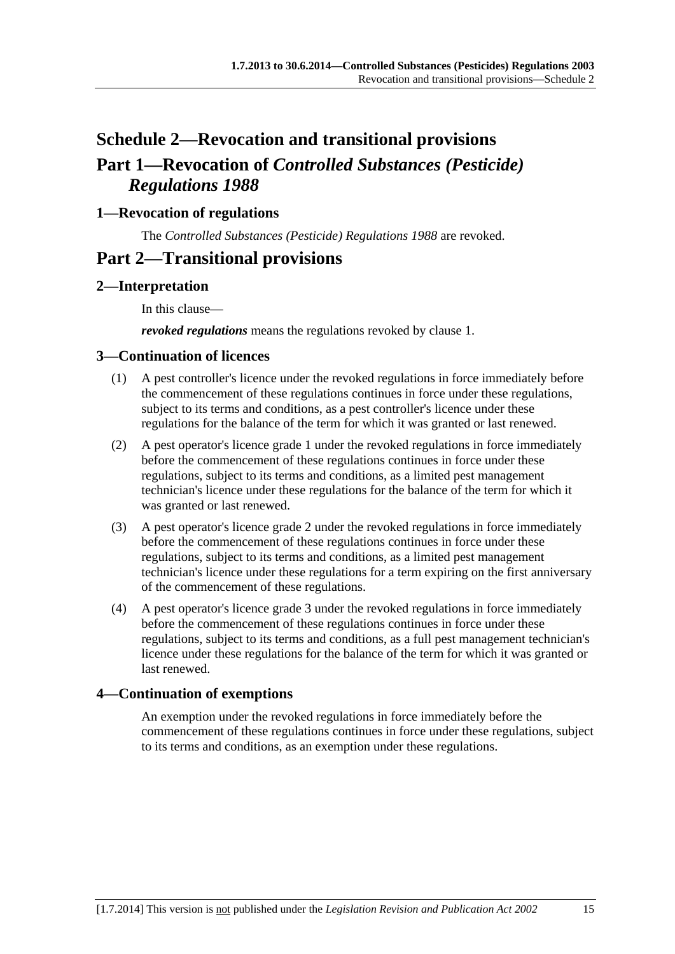# <span id="page-14-0"></span>**Schedule 2—Revocation and transitional provisions Part 1—Revocation of** *Controlled Substances (Pesticide) Regulations 1988*

## **1—Revocation of regulations**

The *[Controlled Substances \(Pesticide\) Regulations 1988](http://www.legislation.sa.gov.au/index.aspx?action=legref&type=subordleg&legtitle=Controlled%20Substances%20(Pesticide)%20Regulations%201988)* are revoked.

## **Part 2—Transitional provisions**

## **2—Interpretation**

In this clause—

*revoked regulations* means the regulations revoked by [clause 1](#page-14-0).

#### **3—Continuation of licences**

- (1) A pest controller's licence under the revoked regulations in force immediately before the commencement of these regulations continues in force under these regulations, subject to its terms and conditions, as a pest controller's licence under these regulations for the balance of the term for which it was granted or last renewed.
- (2) A pest operator's licence grade 1 under the revoked regulations in force immediately before the commencement of these regulations continues in force under these regulations, subject to its terms and conditions, as a limited pest management technician's licence under these regulations for the balance of the term for which it was granted or last renewed.
- (3) A pest operator's licence grade 2 under the revoked regulations in force immediately before the commencement of these regulations continues in force under these regulations, subject to its terms and conditions, as a limited pest management technician's licence under these regulations for a term expiring on the first anniversary of the commencement of these regulations.
- (4) A pest operator's licence grade 3 under the revoked regulations in force immediately before the commencement of these regulations continues in force under these regulations, subject to its terms and conditions, as a full pest management technician's licence under these regulations for the balance of the term for which it was granted or last renewed.

## **4—Continuation of exemptions**

An exemption under the revoked regulations in force immediately before the commencement of these regulations continues in force under these regulations, subject to its terms and conditions, as an exemption under these regulations.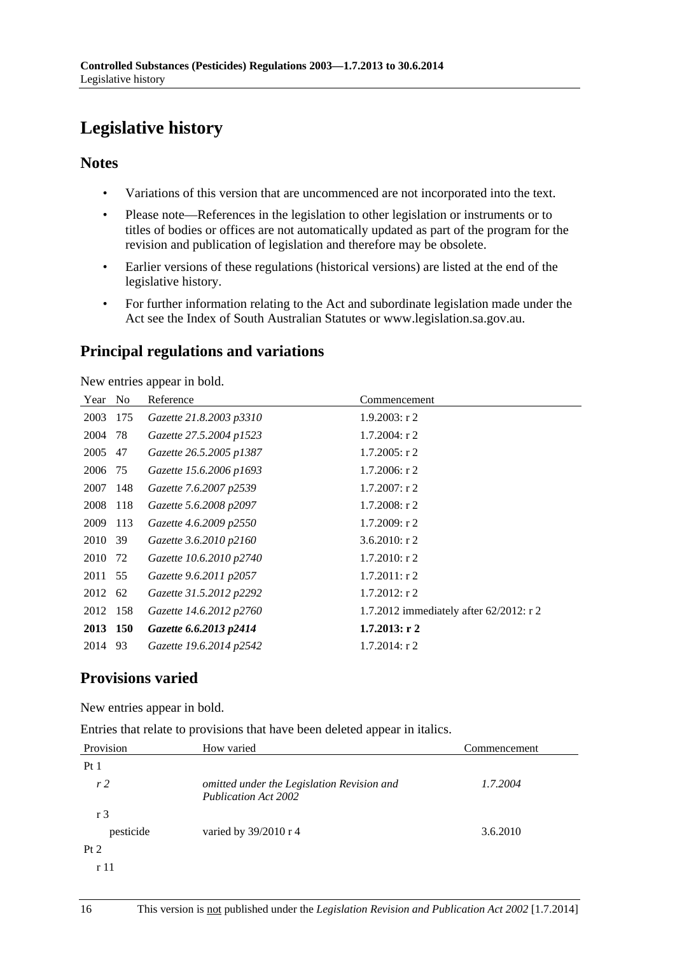# <span id="page-15-0"></span>**Legislative history**

## **Notes**

- Variations of this version that are uncommenced are not incorporated into the text.
- Please note—References in the legislation to other legislation or instruments or to titles of bodies or offices are not automatically updated as part of the program for the revision and publication of legislation and therefore may be obsolete.
- Earlier versions of these regulations (historical versions) are listed at the end of the legislative history.
- For further information relating to the Act and subordinate legislation made under the Act see the Index of South Australian Statutes or www.legislation.sa.gov.au.

## **Principal regulations and variations**

New entries appear in bold.

| Year     | No  | Reference               | Commencement                            |
|----------|-----|-------------------------|-----------------------------------------|
| 2003     | 175 | Gazette 21.8.2003 p3310 | $1.9.2003$ : r 2                        |
| 2004     | 78  | Gazette 27.5.2004 p1523 | $1.7.2004$ : r 2                        |
| 2005     | 47  | Gazette 26.5.2005 p1387 | $1.7.2005$ : r 2                        |
| 2006     | 75  | Gazette 15.6.2006 p1693 | $1.7.2006$ : r 2                        |
| 2007     | 148 | Gazette 7.6.2007 p2539  | $1.7.2007$ : r 2                        |
| 2008     | 118 | Gazette 5.6.2008 p2097  | $1.7.2008$ : r 2                        |
| 2009     | 113 | Gazette 4.6.2009 p2550  | 1.7.2009: r2                            |
| 2010     | 39  | Gazette 3.6.2010 p2160  | $3.6.2010$ : r 2                        |
| 2010 72  |     | Gazette 10.6.2010 p2740 | $1.7.2010$ : r 2                        |
| 2011 55  |     | Gazette 9.6.2011 p2057  | $1.7.2011:$ r 2                         |
| 2012     | 62  | Gazette 31.5.2012 p2292 | $1.7.2012$ : r 2                        |
| 2012 158 |     | Gazette 14.6.2012 p2760 | 1.7.2012 immediately after 62/2012: r 2 |
| 2013 150 |     | Gazette 6.6.2013 p2414  | $1.7.2013$ : r 2                        |
| 2014     | 93  | Gazette 19.6.2014 p2542 | $1.7.2014$ : r 2                        |

## **Provisions varied**

New entries appear in bold.

Entries that relate to provisions that have been deleted appear in italics.

| Provision      | How varied                                                                | Commencement |
|----------------|---------------------------------------------------------------------------|--------------|
| Pt1            |                                                                           |              |
| r <sub>2</sub> | omitted under the Legislation Revision and<br><b>Publication Act 2002</b> | 1.7.2004     |
| r <sub>3</sub> |                                                                           |              |
| pesticide      | varied by 39/2010 r 4                                                     | 3.6.2010     |
| Pt 2           |                                                                           |              |
| r 11           |                                                                           |              |